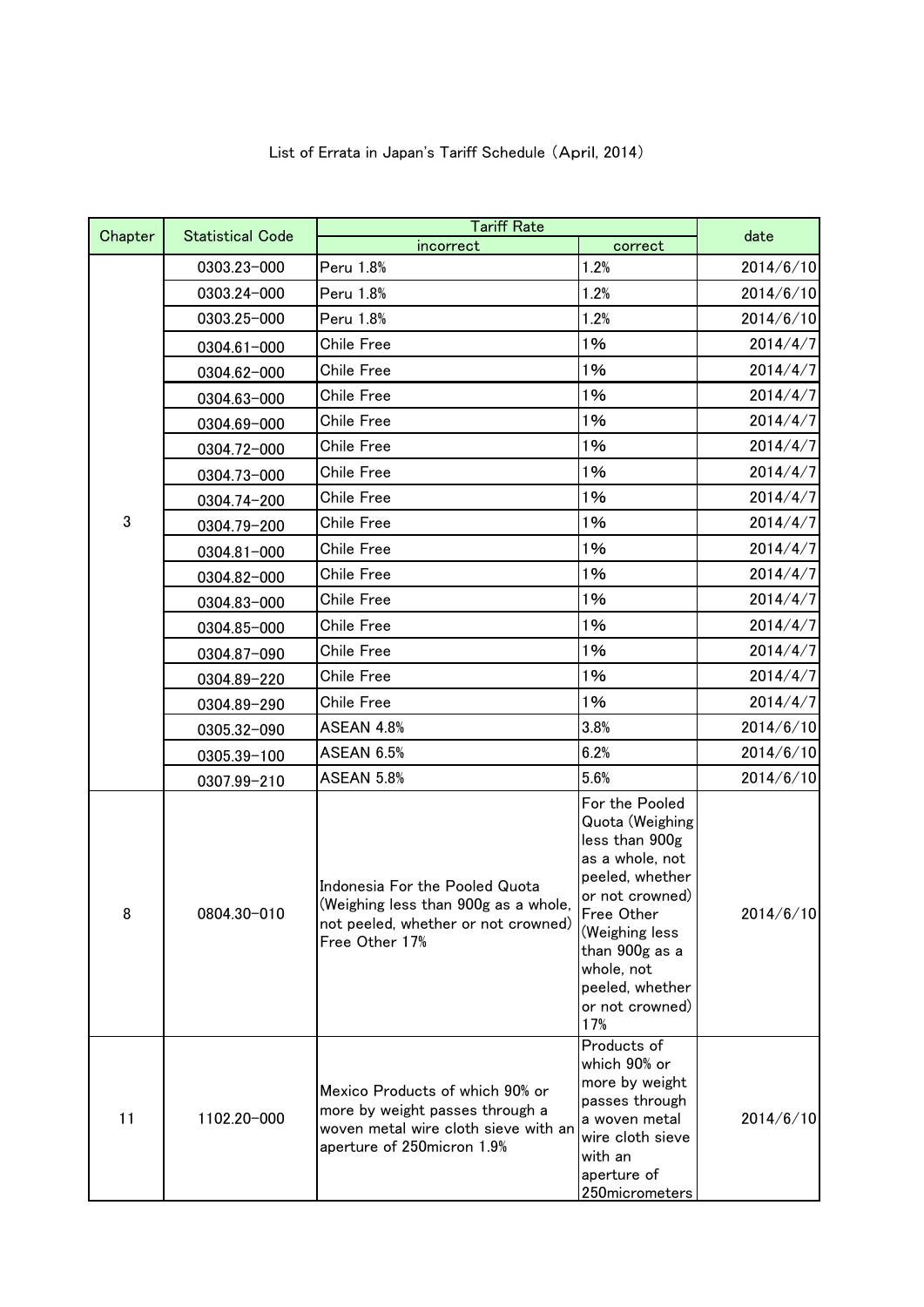| List of Errata in Japan's Tariff Schedule (April, 2014) |  |  |
|---------------------------------------------------------|--|--|
|---------------------------------------------------------|--|--|

| Chapter | <b>Statistical Code</b> | <b>Tariff Rate</b>                                                                                                                       |                                                                                                                                                                                                                           | date      |
|---------|-------------------------|------------------------------------------------------------------------------------------------------------------------------------------|---------------------------------------------------------------------------------------------------------------------------------------------------------------------------------------------------------------------------|-----------|
|         |                         | incorrect                                                                                                                                | correct                                                                                                                                                                                                                   |           |
|         | 0303.23-000             | Peru 1.8%                                                                                                                                | 1.2%                                                                                                                                                                                                                      | 2014/6/10 |
|         | 0303.24-000             | Peru 1.8%                                                                                                                                | 1.2%                                                                                                                                                                                                                      | 2014/6/10 |
|         | 0303.25-000             | Peru 1.8%                                                                                                                                | 1.2%                                                                                                                                                                                                                      | 2014/6/10 |
|         | $0304.61 - 000$         | Chile Free                                                                                                                               | 1%                                                                                                                                                                                                                        | 2014/4/7  |
|         | 0304.62-000             | Chile Free                                                                                                                               | 1%                                                                                                                                                                                                                        | 2014/4/7  |
|         | 0304.63-000             | Chile Free                                                                                                                               | 1%                                                                                                                                                                                                                        | 2014/4/7  |
|         | 0304.69-000             | Chile Free                                                                                                                               | 1%                                                                                                                                                                                                                        | 2014/4/7  |
|         | 0304.72-000             | <b>Chile Free</b>                                                                                                                        | 1%                                                                                                                                                                                                                        | 2014/4/7  |
|         | 0304.73-000             | Chile Free                                                                                                                               | 1%                                                                                                                                                                                                                        | 2014/4/7  |
|         | 0304.74-200             | Chile Free                                                                                                                               | 1%                                                                                                                                                                                                                        | 2014/4/7  |
| 3       | 0304.79-200             | Chile Free                                                                                                                               | 1%                                                                                                                                                                                                                        | 2014/4/7  |
|         | 0304.81-000             | <b>Chile Free</b>                                                                                                                        | 1%                                                                                                                                                                                                                        | 2014/4/7  |
|         | 0304.82-000             | Chile Free                                                                                                                               | 1%                                                                                                                                                                                                                        | 2014/4/7  |
|         | 0304.83-000             | Chile Free                                                                                                                               | 1%                                                                                                                                                                                                                        | 2014/4/7  |
|         | 0304.85-000             | Chile Free                                                                                                                               | 1%                                                                                                                                                                                                                        | 2014/4/7  |
|         | 0304.87-090             | Chile Free                                                                                                                               | 1%                                                                                                                                                                                                                        | 2014/4/7  |
|         | 0304.89-220             | Chile Free                                                                                                                               | 1%                                                                                                                                                                                                                        | 2014/4/7  |
|         | 0304.89-290             | Chile Free                                                                                                                               | 1%                                                                                                                                                                                                                        | 2014/4/7  |
|         | 0305.32-090             | ASEAN 4.8%                                                                                                                               | 3.8%                                                                                                                                                                                                                      | 2014/6/10 |
|         | 0305.39-100             | <b>ASEAN 6.5%</b>                                                                                                                        | 6.2%                                                                                                                                                                                                                      | 2014/6/10 |
|         | 0307.99-210             | <b>ASEAN 5.8%</b>                                                                                                                        | 5.6%                                                                                                                                                                                                                      | 2014/6/10 |
| 8       | 0804.30-010             | Indonesia For the Pooled Quota<br>(Weighing less than 900g as a whole,<br>not peeled, whether or not crowned)<br>Free Other 17%          | For the Pooled<br>Quota (Weighing<br>less than 900g<br>as a whole, not<br>peeled, whether<br>or not crowned)<br>Free Other<br>(Weighing less<br>than 900g as a<br>whole, not<br>peeled, whether<br>or not crowned)<br>17% | 2014/6/10 |
| 11      | 1102.20-000             | Mexico Products of which 90% or<br>more by weight passes through a<br>woven metal wire cloth sieve with an<br>aperture of 250micron 1.9% | Products of<br>which 90% or<br>more by weight<br>passes through<br>a woven metal<br>wire cloth sieve<br>with an<br>aperture of<br>250micrometers                                                                          | 2014/6/10 |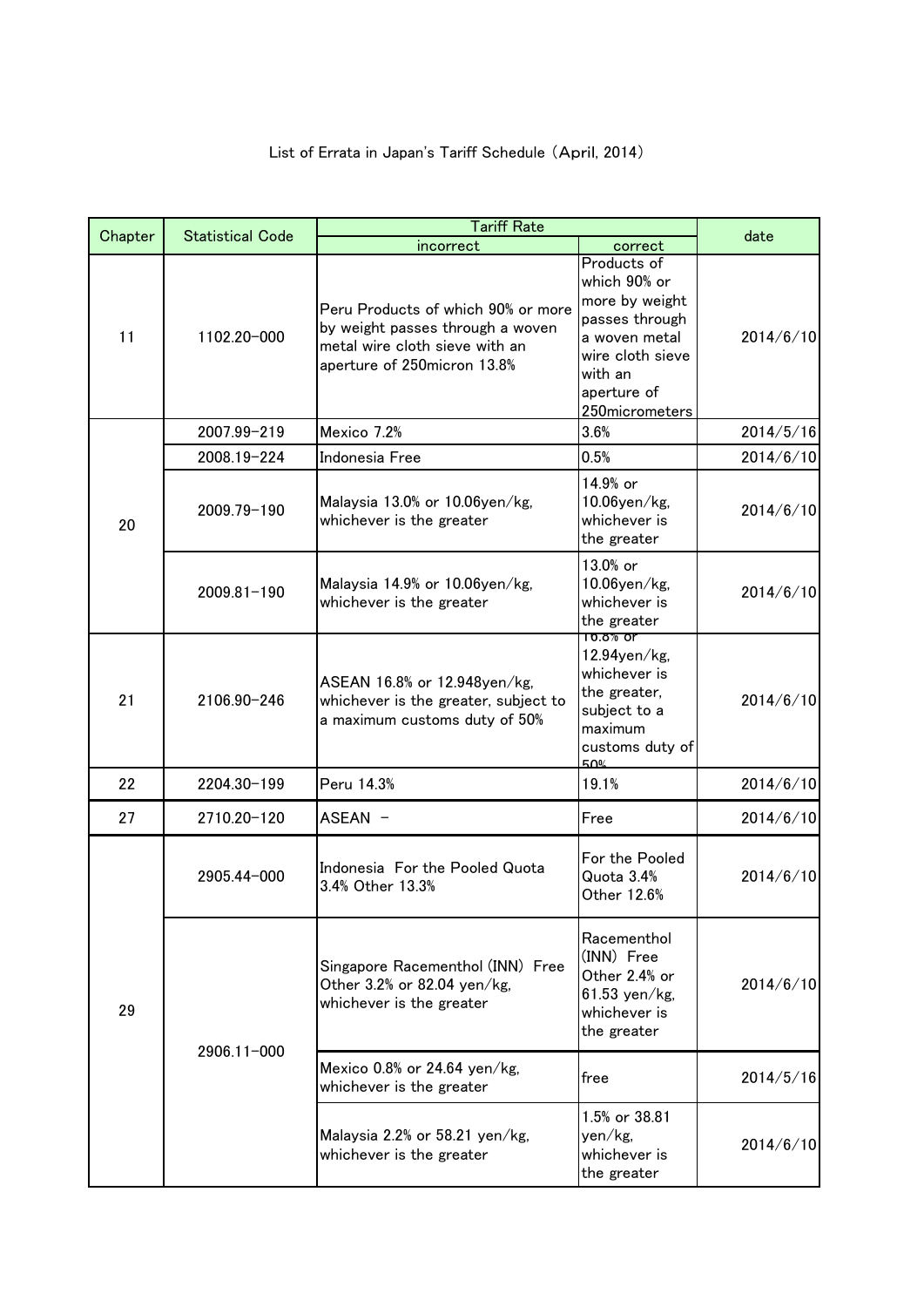|         | <b>Tariff Rate</b>      |                                                                                                                                         | date                                                                                                                                             |           |
|---------|-------------------------|-----------------------------------------------------------------------------------------------------------------------------------------|--------------------------------------------------------------------------------------------------------------------------------------------------|-----------|
| Chapter | <b>Statistical Code</b> | incorrect                                                                                                                               | correct                                                                                                                                          |           |
| 11      | 1102.20-000             | Peru Products of which 90% or more<br>by weight passes through a woven<br>metal wire cloth sieve with an<br>aperture of 250micron 13.8% | Products of<br>which 90% or<br>more by weight<br>passes through<br>a woven metal<br>wire cloth sieve<br>with an<br>aperture of<br>250micrometers | 2014/6/10 |
|         | 2007.99-219             | Mexico 7.2%                                                                                                                             | 3.6%                                                                                                                                             | 2014/5/16 |
|         | 2008.19-224             | Indonesia Free                                                                                                                          | 0.5%                                                                                                                                             | 2014/6/10 |
| 20      | 2009.79-190             | Malaysia 13.0% or 10.06yen/kg,<br>whichever is the greater                                                                              | 14.9% or<br>10.06yen/kg,<br>whichever is<br>the greater                                                                                          | 2014/6/10 |
|         | 2009.81-190             | Malaysia 14.9% or 10.06yen/kg,<br>whichever is the greater                                                                              | 13.0% or<br>10.06yen/kg,<br>whichever is<br>the greater                                                                                          | 2014/6/10 |
| 21      | 2106.90-246             | ASEAN 16.8% or 12.948yen/kg,<br>whichever is the greater, subject to<br>a maximum customs duty of 50%                                   | $10.8\%$ or<br>12.94yen/kg,<br>whichever is<br>the greater,<br>subject to a<br>maximum<br>customs duty of<br>50%                                 | 2014/6/10 |
| 22      | 2204.30-199             | Peru 14.3%                                                                                                                              | 19.1%                                                                                                                                            | 2014/6/10 |
| 27      | 2710.20-120             | ASEAN -                                                                                                                                 | Free                                                                                                                                             | 2014/6/10 |
| 29      | 2905.44-000             | Indonesia For the Pooled Quota<br>3.4% Other 13.3%                                                                                      | For the Pooled<br>Quota 3.4%<br>Other 12.6%                                                                                                      | 2014/6/10 |
|         | 2906.11-000             | Singapore Racementhol (INN) Free<br>Other 3.2% or 82.04 yen/kg,<br>whichever is the greater                                             | Racementhol<br>(INN) Free<br>Other 2.4% or<br>$61.53$ yen/kg,<br>whichever is<br>the greater                                                     | 2014/6/10 |
|         |                         | Mexico 0.8% or 24.64 yen/kg,<br>whichever is the greater                                                                                | free                                                                                                                                             | 2014/5/16 |
|         |                         | Malaysia 2.2% or 58.21 yen/kg,<br>whichever is the greater                                                                              | 1.5% or 38.81<br>yen/kg,<br>whichever is<br>the greater                                                                                          | 2014/6/10 |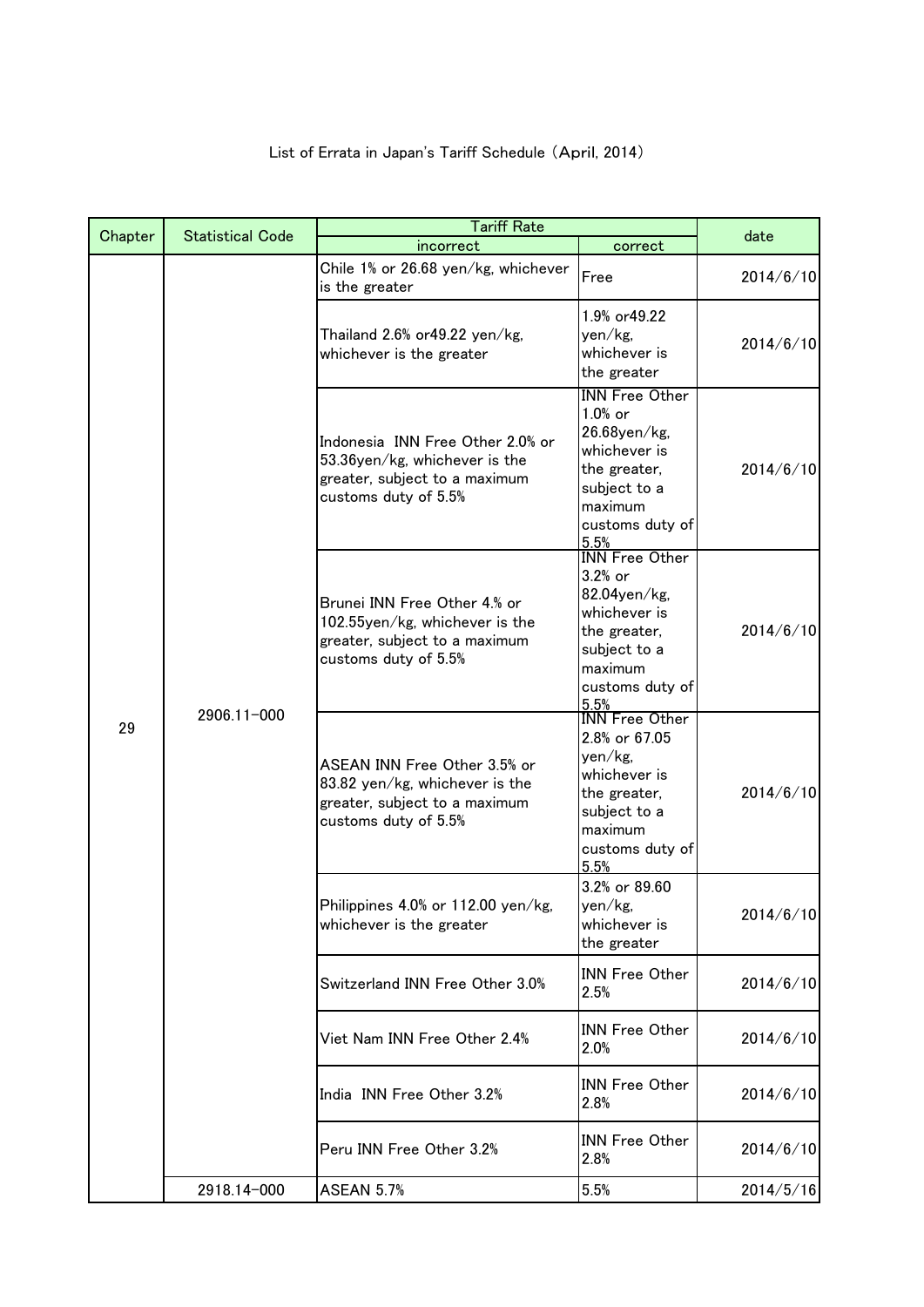|                   |                                                                                                                         | <b>Tariff Rate</b>                                                                                                                      |                                                                                                                                        |           |  |
|-------------------|-------------------------------------------------------------------------------------------------------------------------|-----------------------------------------------------------------------------------------------------------------------------------------|----------------------------------------------------------------------------------------------------------------------------------------|-----------|--|
| Chapter           | <b>Statistical Code</b>                                                                                                 | incorrect                                                                                                                               | correct                                                                                                                                | date      |  |
|                   | Chile 1% or 26.68 yen/kg, whichever<br>is the greater                                                                   | Free                                                                                                                                    | 2014/6/10                                                                                                                              |           |  |
|                   |                                                                                                                         | Thailand 2.6% or 49.22 yen/kg,<br>whichever is the greater                                                                              | 1.9% or 49.22<br>yen/kg,<br>whichever is<br>the greater                                                                                | 2014/6/10 |  |
|                   |                                                                                                                         | Indonesia INN Free Other 2.0% or<br>53.36yen/kg, whichever is the<br>greater, subject to a maximum<br>customs duty of 5.5%              | <b>INN Free Other</b><br>1.0% or<br>26.68yen/kg,<br>whichever is<br>the greater,<br>subject to a<br>maximum<br>customs duty of<br>5.5% | 2014/6/10 |  |
|                   |                                                                                                                         | Brunei INN Free Other 4.% or<br>102.55yen/kg, whichever is the<br>greater, subject to a maximum<br>customs duty of 5.5%                 | <b>INN</b> Free Other<br>3.2% or<br>82.04yen/kg,<br>whichever is<br>the greater,<br>subject to a<br>maximum<br>customs duty of<br>5.5% | 2014/6/10 |  |
| 2906.11-000<br>29 | ASEAN INN Free Other 3.5% or<br>83.82 yen/kg, whichever is the<br>greater, subject to a maximum<br>customs duty of 5.5% | <b>INN</b> Free Other<br>2.8% or 67.05<br>yen/kg,<br>whichever is<br>the greater,<br>subject to a<br>maximum<br>customs duty of<br>5.5% | 2014/6/10                                                                                                                              |           |  |
|                   |                                                                                                                         | Philippines 4.0% or 112.00 yen/kg,<br>whichever is the greater                                                                          | 3.2% or 89.60<br>yen/kg.<br>whichever is<br>the greater                                                                                | 2014/6/10 |  |
|                   |                                                                                                                         | Switzerland INN Free Other 3.0%                                                                                                         | <b>INN Free Other</b><br>2.5%                                                                                                          | 2014/6/10 |  |
|                   |                                                                                                                         | Viet Nam INN Free Other 2.4%                                                                                                            | <b>INN Free Other</b><br>2.0%                                                                                                          | 2014/6/10 |  |
|                   |                                                                                                                         | India INN Free Other 3.2%                                                                                                               | <b>INN Free Other</b><br>2.8%                                                                                                          | 2014/6/10 |  |
|                   |                                                                                                                         | Peru INN Free Other 3.2%                                                                                                                | <b>INN Free Other</b><br>2.8%                                                                                                          | 2014/6/10 |  |
|                   | 2918.14-000                                                                                                             | <b>ASEAN 5.7%</b>                                                                                                                       | 5.5%                                                                                                                                   | 2014/5/16 |  |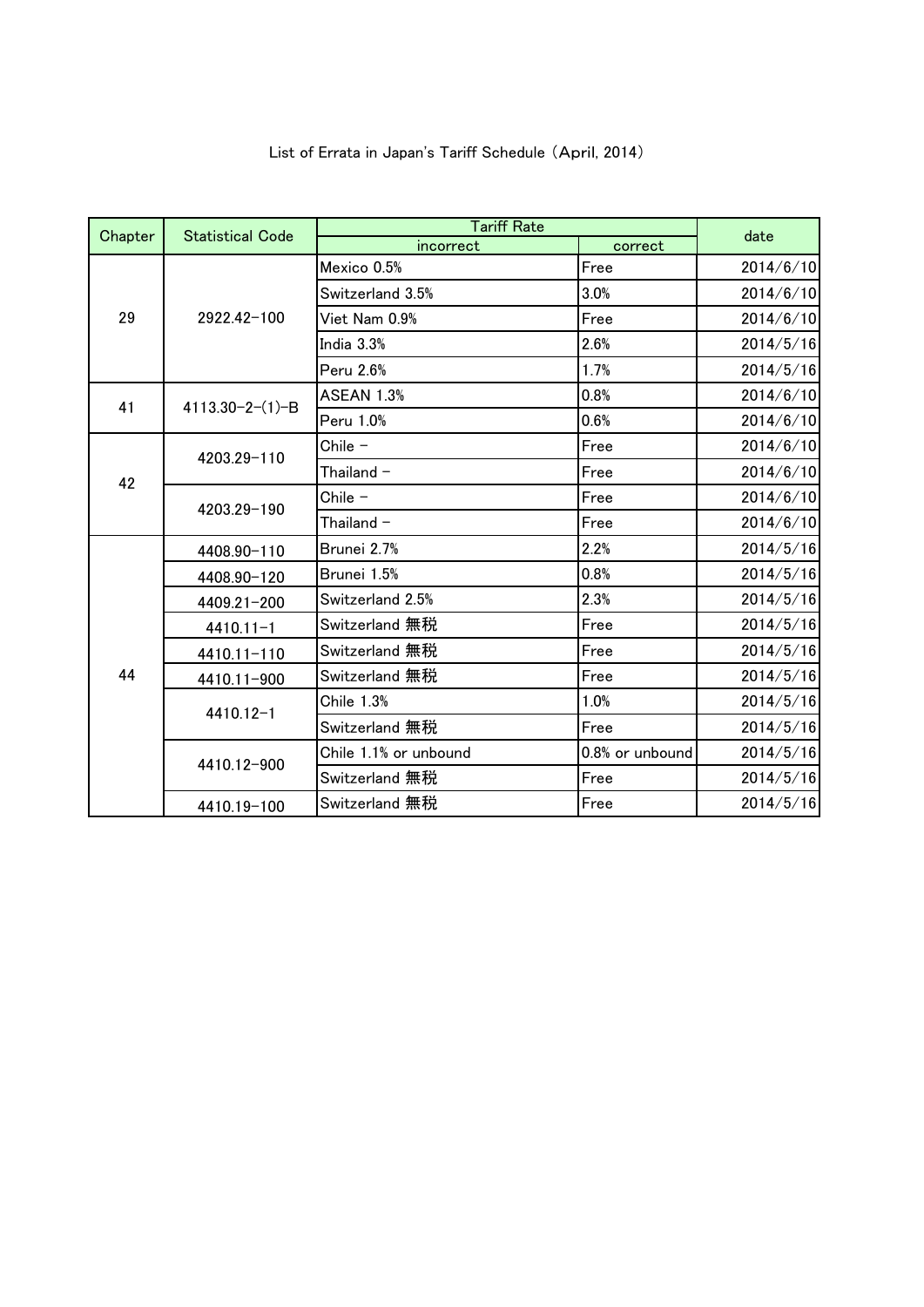|         |                         | <b>Tariff Rate</b>    |                 |           |
|---------|-------------------------|-----------------------|-----------------|-----------|
| Chapter | <b>Statistical Code</b> | incorrect             | correct         | date      |
| 29      | 2922.42-100             | Mexico 0.5%           | Free            | 2014/6/10 |
|         |                         | Switzerland 3.5%      | 3.0%            | 2014/6/10 |
|         |                         | Viet Nam 0.9%         | Free            | 2014/6/10 |
|         |                         | India 3.3%            | 2.6%            | 2014/5/16 |
|         |                         | Peru 2.6%             | 1.7%            | 2014/5/16 |
| 41      |                         | <b>ASEAN 1.3%</b>     | 0.8%            | 2014/6/10 |
|         | $4113.30 - 2 - (1) - B$ | Peru 1.0%             | 0.6%            | 2014/6/10 |
|         |                         | Chile $-$             | Free            | 2014/6/10 |
| 42      | 4203.29-110             | Thailand $-$          | Free            | 2014/6/10 |
|         | 4203.29-190             | Chile -               | Free            | 2014/6/10 |
|         |                         | Thailand $-$          | Free            | 2014/6/10 |
|         | 4408.90-110             | Brunei 2.7%           | 2.2%            | 2014/5/16 |
|         | 4408.90-120             | Brunei 1.5%           | 0.8%            | 2014/5/16 |
|         | 4409.21-200             | Switzerland 2.5%      | 2.3%            | 2014/5/16 |
|         | $4410.11 - 1$           | Switzerland 無税        | Free            | 2014/5/16 |
|         | 4410.11-110             | Switzerland 無税        | Free            | 2014/5/16 |
| 44      | 4410.11-900             | Switzerland 無税        | Free            | 2014/5/16 |
|         | 4410.12-1               | <b>Chile 1.3%</b>     | 1.0%            | 2014/5/16 |
|         |                         | Switzerland 無税        | Free            | 2014/5/16 |
|         | 4410.12-900             | Chile 1.1% or unbound | 0.8% or unbound | 2014/5/16 |
|         |                         | Switzerland 無税        | Free            | 2014/5/16 |
|         | 4410.19-100             | Switzerland 無税        | Free            | 2014/5/16 |